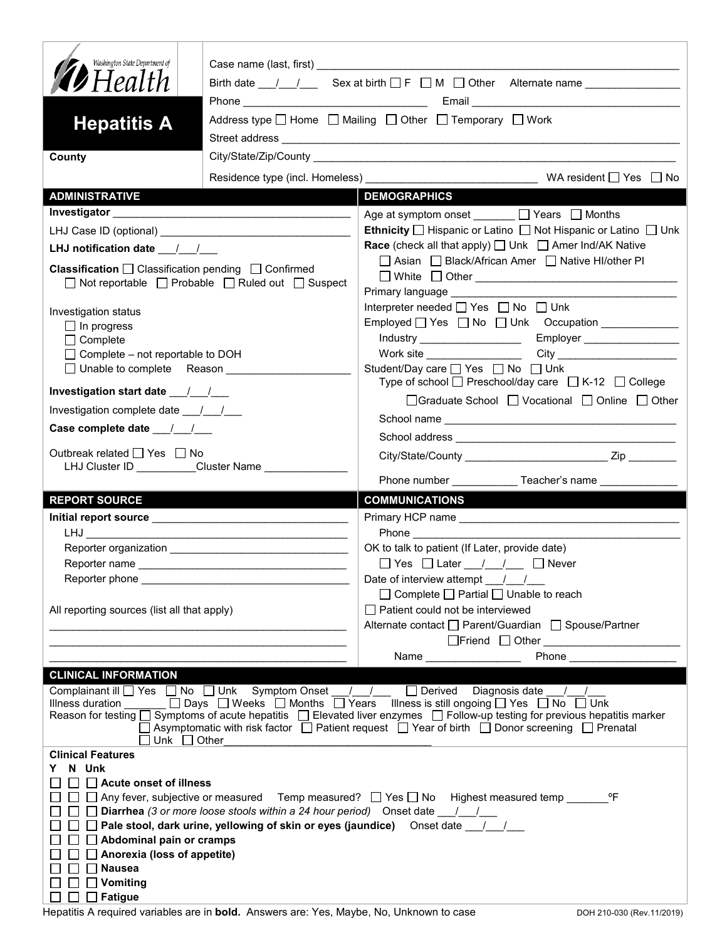| Washington State Department of<br><b>12</b> Health<br><b>Hepatitis A</b><br>County                                                                                                                                             |                                                                                                  | Birth date $\frac{1}{\sqrt{2}}$ Sex at birth $\Box$ F $\Box$ M $\Box$ Other Alternate name $\Box$<br>Address type   Home   Mailing   Other   Temporary   Work<br>City/State/Zip/County League and City/State/Zip/County League and City/State/Zip/County                                                                                                                                                                                                                                                      |  |  |
|--------------------------------------------------------------------------------------------------------------------------------------------------------------------------------------------------------------------------------|--------------------------------------------------------------------------------------------------|---------------------------------------------------------------------------------------------------------------------------------------------------------------------------------------------------------------------------------------------------------------------------------------------------------------------------------------------------------------------------------------------------------------------------------------------------------------------------------------------------------------|--|--|
| <b>ADMINISTRATIVE</b>                                                                                                                                                                                                          |                                                                                                  | <b>DEMOGRAPHICS</b>                                                                                                                                                                                                                                                                                                                                                                                                                                                                                           |  |  |
|                                                                                                                                                                                                                                |                                                                                                  |                                                                                                                                                                                                                                                                                                                                                                                                                                                                                                               |  |  |
|                                                                                                                                                                                                                                |                                                                                                  | Age at symptom onset $\Box$ Years $\Box$ Months<br>Ethnicity □ Hispanic or Latino □ Not Hispanic or Latino □ Unk                                                                                                                                                                                                                                                                                                                                                                                              |  |  |
|                                                                                                                                                                                                                                |                                                                                                  | <b>Race</b> (check all that apply) <u>□</u> Unk □ Amer Ind/AK Native                                                                                                                                                                                                                                                                                                                                                                                                                                          |  |  |
| LHJ notification date $\frac{1}{2}$<br><b>Classification</b> $\Box$ Classification pending $\Box$ Confirmed                                                                                                                    | $\Box$ Not reportable $\Box$ Probable $\Box$ Ruled out $\Box$ Suspect                            | □ Asian □ Black/African Amer □ Native HI/other PI                                                                                                                                                                                                                                                                                                                                                                                                                                                             |  |  |
|                                                                                                                                                                                                                                |                                                                                                  | Primary language <b>Primary</b> language                                                                                                                                                                                                                                                                                                                                                                                                                                                                      |  |  |
| Investigation status                                                                                                                                                                                                           |                                                                                                  | Interpreter needed $\Box$ Yes $\Box$ No $\Box$ Unk                                                                                                                                                                                                                                                                                                                                                                                                                                                            |  |  |
| $\Box$ In progress                                                                                                                                                                                                             |                                                                                                  | Employed   Yes   No   Unk Occupation ____________                                                                                                                                                                                                                                                                                                                                                                                                                                                             |  |  |
| $\Box$ Complete                                                                                                                                                                                                                |                                                                                                  |                                                                                                                                                                                                                                                                                                                                                                                                                                                                                                               |  |  |
| $\Box$ Complete – not reportable to DOH<br>$\Box$ Unable to complete Reason                                                                                                                                                    |                                                                                                  | Work site __________________<br>Student/Day care <sup>1</sup> Yes <sup>1</sup> No <sup>1</sup> Unk                                                                                                                                                                                                                                                                                                                                                                                                            |  |  |
|                                                                                                                                                                                                                                |                                                                                                  | Type of school $\Box$ Preschool/day care $\Box$ K-12 $\Box$ College                                                                                                                                                                                                                                                                                                                                                                                                                                           |  |  |
|                                                                                                                                                                                                                                |                                                                                                  | □ Graduate School □ Vocational □ Online □ Other                                                                                                                                                                                                                                                                                                                                                                                                                                                               |  |  |
| Investigation complete date __/__/__                                                                                                                                                                                           |                                                                                                  |                                                                                                                                                                                                                                                                                                                                                                                                                                                                                                               |  |  |
|                                                                                                                                                                                                                                |                                                                                                  |                                                                                                                                                                                                                                                                                                                                                                                                                                                                                                               |  |  |
| Outbreak related □ Yes □ No                                                                                                                                                                                                    |                                                                                                  |                                                                                                                                                                                                                                                                                                                                                                                                                                                                                                               |  |  |
| LHJ Cluster ID Cluster Name                                                                                                                                                                                                    |                                                                                                  |                                                                                                                                                                                                                                                                                                                                                                                                                                                                                                               |  |  |
|                                                                                                                                                                                                                                |                                                                                                  | Phone number _______________Teacher's name _____________                                                                                                                                                                                                                                                                                                                                                                                                                                                      |  |  |
| <b>REPORT SOURCE</b>                                                                                                                                                                                                           |                                                                                                  | <b>COMMUNICATIONS</b>                                                                                                                                                                                                                                                                                                                                                                                                                                                                                         |  |  |
|                                                                                                                                                                                                                                |                                                                                                  |                                                                                                                                                                                                                                                                                                                                                                                                                                                                                                               |  |  |
|                                                                                                                                                                                                                                |                                                                                                  | Phone _____________                                                                                                                                                                                                                                                                                                                                                                                                                                                                                           |  |  |
|                                                                                                                                                                                                                                |                                                                                                  | OK to talk to patient (If Later, provide date)                                                                                                                                                                                                                                                                                                                                                                                                                                                                |  |  |
| Reporter phone and the state of the state of the state of the state of the state of the state of the state of the state of the state of the state of the state of the state of the state of the state of the state of the stat |                                                                                                  | $\Box$ Yes $\Box$ Later $\Box$ / $\Box$ Never<br>Date of interview attempt / /                                                                                                                                                                                                                                                                                                                                                                                                                                |  |  |
|                                                                                                                                                                                                                                |                                                                                                  | $\Box$ Complete $\Box$ Partial $\Box$ Unable to reach                                                                                                                                                                                                                                                                                                                                                                                                                                                         |  |  |
| All reporting sources (list all that apply)                                                                                                                                                                                    |                                                                                                  | $\Box$ Patient could not be interviewed                                                                                                                                                                                                                                                                                                                                                                                                                                                                       |  |  |
|                                                                                                                                                                                                                                |                                                                                                  | Alternate contact<br>□ Parent/Guardian<br>□ Spouse/Partner                                                                                                                                                                                                                                                                                                                                                                                                                                                    |  |  |
|                                                                                                                                                                                                                                |                                                                                                  |                                                                                                                                                                                                                                                                                                                                                                                                                                                                                                               |  |  |
|                                                                                                                                                                                                                                |                                                                                                  | Phone                                                                                                                                                                                                                                                                                                                                                                                                                                                                                                         |  |  |
| <b>CLINICAL INFORMATION</b>                                                                                                                                                                                                    |                                                                                                  |                                                                                                                                                                                                                                                                                                                                                                                                                                                                                                               |  |  |
| $\Box$ Unk $\Box$ Other                                                                                                                                                                                                        |                                                                                                  | Complainant ill $\Box$ Yes $\Box$ No $\Box$ Unk Symptom Onset / / $\Box$ Derived Diagnosis date / /<br>Illness duration $\Box$ Days $\Box$ Weeks $\Box$ Months $\Box$ Years Illness is still ongoing $\Box$ Yes $\Box$ No $\Box$ Unk<br>Reason for testing $\Box$ Symptoms of acute hepatitis $\Box$ Elevated liver enzymes $\Box$ Follow-up testing for previous hepatitis marker<br>$\Box$ Asymptomatic with risk factor $\Box$ Patient request $\Box$ Year of birth $\Box$ Donor screening $\Box$ Prenatal |  |  |
| <b>Clinical Features</b>                                                                                                                                                                                                       |                                                                                                  |                                                                                                                                                                                                                                                                                                                                                                                                                                                                                                               |  |  |
| N Unk                                                                                                                                                                                                                          |                                                                                                  |                                                                                                                                                                                                                                                                                                                                                                                                                                                                                                               |  |  |
| Acute onset of illness                                                                                                                                                                                                         |                                                                                                  |                                                                                                                                                                                                                                                                                                                                                                                                                                                                                                               |  |  |
|                                                                                                                                                                                                                                | <b>Diarrhea</b> (3 or more loose stools within a 24 hour period) Onset date $\frac{1}{\sqrt{2}}$ |                                                                                                                                                                                                                                                                                                                                                                                                                                                                                                               |  |  |
|                                                                                                                                                                                                                                |                                                                                                  | Pale stool, dark urine, yellowing of skin or eyes (jaundice) Onset date 1.                                                                                                                                                                                                                                                                                                                                                                                                                                    |  |  |
| $\Box$ Abdominal pain or cramps                                                                                                                                                                                                |                                                                                                  |                                                                                                                                                                                                                                                                                                                                                                                                                                                                                                               |  |  |
| Anorexia (loss of appetite)                                                                                                                                                                                                    |                                                                                                  |                                                                                                                                                                                                                                                                                                                                                                                                                                                                                                               |  |  |
| <b>Nausea</b><br>Vomiting                                                                                                                                                                                                      |                                                                                                  |                                                                                                                                                                                                                                                                                                                                                                                                                                                                                                               |  |  |
| $\Box$ Fatigue                                                                                                                                                                                                                 |                                                                                                  |                                                                                                                                                                                                                                                                                                                                                                                                                                                                                                               |  |  |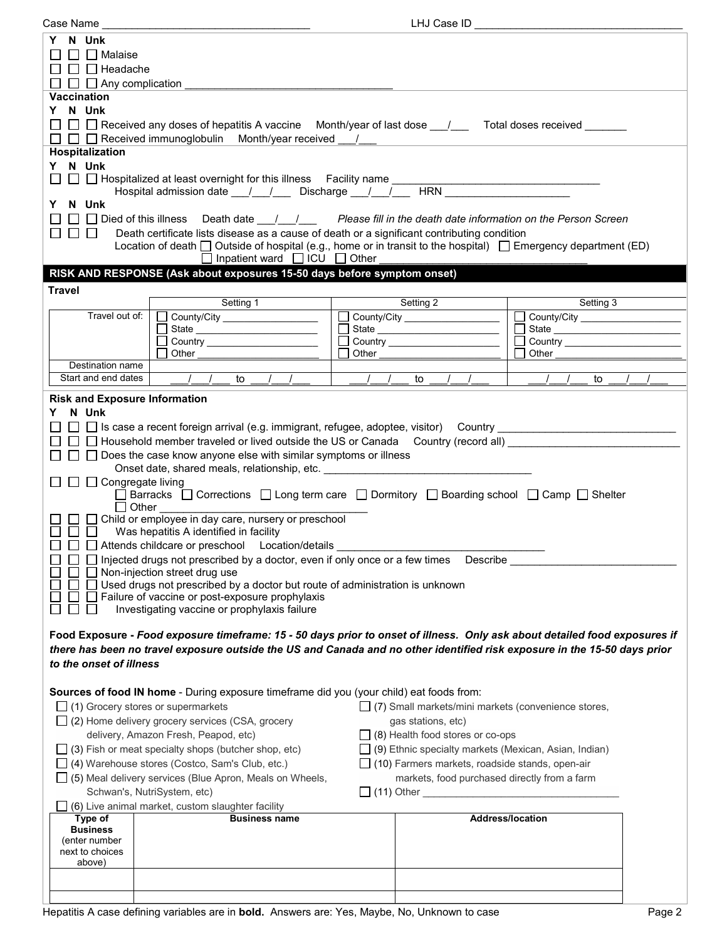| Case Name                                                                                                              | LHJ Case ID                                                                                                                |                                                                                                                      |  |  |
|------------------------------------------------------------------------------------------------------------------------|----------------------------------------------------------------------------------------------------------------------------|----------------------------------------------------------------------------------------------------------------------|--|--|
| N Unk<br>Y                                                                                                             |                                                                                                                            |                                                                                                                      |  |  |
| $\Box$ Malaise                                                                                                         |                                                                                                                            |                                                                                                                      |  |  |
| $\Box$ Headache                                                                                                        |                                                                                                                            |                                                                                                                      |  |  |
| $\Box$ Any complication                                                                                                |                                                                                                                            |                                                                                                                      |  |  |
| <b>Vaccination</b>                                                                                                     |                                                                                                                            |                                                                                                                      |  |  |
| Y N Unk                                                                                                                |                                                                                                                            |                                                                                                                      |  |  |
|                                                                                                                        |                                                                                                                            |                                                                                                                      |  |  |
|                                                                                                                        | $\Box~\Box~\Box$ Received any doses of hepatitis A vaccine Month/year of last dose ___/______ Total doses received _______ |                                                                                                                      |  |  |
|                                                                                                                        | $\Box$ $\Box$ Received immunoglobulin Month/year received ___/___                                                          |                                                                                                                      |  |  |
| Hospitalization                                                                                                        |                                                                                                                            |                                                                                                                      |  |  |
| Y N Unk                                                                                                                |                                                                                                                            |                                                                                                                      |  |  |
| $\Box$ $\Box$ Hospitalized at least overnight for this illness Facility name $\Box$                                    |                                                                                                                            | <u> 1964 - Johann John Barn, mars eta bainar eta mondo eta erromana eta erromana eta erromana eta erromana eta e</u> |  |  |
|                                                                                                                        | Hospital admission date __/__/___ Discharge __/__/___ HRN ______________________                                           |                                                                                                                      |  |  |
| Y N Unk                                                                                                                |                                                                                                                            |                                                                                                                      |  |  |
|                                                                                                                        | $\Box$ Died of this illness Death date $\Box$ / Please fill in the death date information on the Person Screen             |                                                                                                                      |  |  |
| $\Box$<br>$\Box$ $\Box$                                                                                                | Death certificate lists disease as a cause of death or a significant contributing condition                                |                                                                                                                      |  |  |
|                                                                                                                        | Location of death $\Box$ Outside of hospital (e.g., home or in transit to the hospital) $\Box$ Emergency department (ED)   |                                                                                                                      |  |  |
|                                                                                                                        | $\Box$ Inpatient ward $\Box$ ICU $\Box$ Other                                                                              |                                                                                                                      |  |  |
| RISK AND RESPONSE (Ask about exposures 15-50 days before symptom onset)                                                |                                                                                                                            |                                                                                                                      |  |  |
|                                                                                                                        |                                                                                                                            |                                                                                                                      |  |  |
| <b>Travel</b>                                                                                                          |                                                                                                                            |                                                                                                                      |  |  |
| Setting 1<br>Travel out of:                                                                                            | Setting 2                                                                                                                  | Setting 3                                                                                                            |  |  |
| County/City ____________________                                                                                       | County/City ___________________                                                                                            | County/City                                                                                                          |  |  |
| State ____________________________                                                                                     |                                                                                                                            | $\Box$                                                                                                               |  |  |
| Country ________________________                                                                                       |                                                                                                                            | $\Box$<br>Other                                                                                                      |  |  |
| Other<br>Destination name                                                                                              | Other                                                                                                                      |                                                                                                                      |  |  |
| Start and end dates<br>$\frac{1}{2}$<br>to                                                                             | $\sqrt{1}$<br>$\sqrt{1}$<br>to<br>$\frac{1}{2}$<br>$\frac{1}{2}$                                                           | to                                                                                                                   |  |  |
|                                                                                                                        |                                                                                                                            |                                                                                                                      |  |  |
| <b>Risk and Exposure Information</b>                                                                                   |                                                                                                                            |                                                                                                                      |  |  |
| N Unk<br>Y.                                                                                                            |                                                                                                                            |                                                                                                                      |  |  |
|                                                                                                                        | □ □ Is case a recent foreign arrival (e.g. immigrant, refugee, adoptee, visitor) Country ______________________            |                                                                                                                      |  |  |
|                                                                                                                        | $\Box$ Household member traveled or lived outside the US or Canada Country (record all)                                    |                                                                                                                      |  |  |
| $\Box$ Does the case know anyone else with similar symptoms or illness                                                 |                                                                                                                            |                                                                                                                      |  |  |
|                                                                                                                        | Onset date, shared meals, relationship, etc. ___________________________________                                           |                                                                                                                      |  |  |
| $\Box$ $\Box$ Congregate living                                                                                        |                                                                                                                            |                                                                                                                      |  |  |
|                                                                                                                        | Barracks □ Corrections □ Long term care □ Dormitory □ Boarding school □ Camp □ Shelter                                     |                                                                                                                      |  |  |
| Other                                                                                                                  |                                                                                                                            |                                                                                                                      |  |  |
| $\Box$ Child or employee in day care, nursery or preschool                                                             |                                                                                                                            |                                                                                                                      |  |  |
| $\Box$<br>Was hepatitis A identified in facility                                                                       |                                                                                                                            |                                                                                                                      |  |  |
| Attends childcare or preschool Location/details                                                                        |                                                                                                                            |                                                                                                                      |  |  |
|                                                                                                                        | $\Box$ Injected drugs not prescribed by a doctor, even if only once or a few times Describe                                |                                                                                                                      |  |  |
| $\Box$ Non-injection street drug use                                                                                   |                                                                                                                            |                                                                                                                      |  |  |
|                                                                                                                        | □ Used drugs not prescribed by a doctor but route of administration is unknown                                             |                                                                                                                      |  |  |
| $\Box$ Failure of vaccine or post-exposure prophylaxis                                                                 |                                                                                                                            |                                                                                                                      |  |  |
| Investigating vaccine or prophylaxis failure                                                                           |                                                                                                                            |                                                                                                                      |  |  |
|                                                                                                                        |                                                                                                                            |                                                                                                                      |  |  |
|                                                                                                                        | Food Exposure - Food exposure timeframe: 15 - 50 days prior to onset of illness. Only ask about detailed food exposures if |                                                                                                                      |  |  |
|                                                                                                                        | there has been no travel exposure outside the US and Canada and no other identified risk exposure in the 15-50 days prior  |                                                                                                                      |  |  |
| to the onset of illness                                                                                                |                                                                                                                            |                                                                                                                      |  |  |
|                                                                                                                        |                                                                                                                            |                                                                                                                      |  |  |
|                                                                                                                        |                                                                                                                            |                                                                                                                      |  |  |
|                                                                                                                        | Sources of food IN home - During exposure timeframe did you (your child) eat foods from:                                   |                                                                                                                      |  |  |
| $\Box$ (1) Grocery stores or supermarkets                                                                              | $\Box$ (7) Small markets/mini markets (convenience stores,                                                                 |                                                                                                                      |  |  |
| $\Box$ (2) Home delivery grocery services (CSA, grocery                                                                | gas stations, etc)                                                                                                         |                                                                                                                      |  |  |
| delivery, Amazon Fresh, Peapod, etc)                                                                                   | $\Box$ (8) Health food stores or co-ops                                                                                    |                                                                                                                      |  |  |
| □ (9) Ethnic specialty markets (Mexican, Asian, Indian)<br>$\Box$ (3) Fish or meat specialty shops (butcher shop, etc) |                                                                                                                            |                                                                                                                      |  |  |
| □ (4) Warehouse stores (Costco, Sam's Club, etc.)                                                                      | $\Box$ (10) Farmers markets, roadside stands, open-air                                                                     |                                                                                                                      |  |  |
|                                                                                                                        |                                                                                                                            |                                                                                                                      |  |  |
| (5) Meal delivery services (Blue Apron, Meals on Wheels,                                                               |                                                                                                                            | markets, food purchased directly from a farm                                                                         |  |  |
| Schwan's, NutriSystem, etc)                                                                                            | $\Box$ (11) Other                                                                                                          |                                                                                                                      |  |  |
| (6) Live animal market, custom slaughter facility                                                                      |                                                                                                                            |                                                                                                                      |  |  |
| Type of                                                                                                                | <b>Business name</b>                                                                                                       | <b>Address/location</b>                                                                                              |  |  |
| <b>Business</b><br>(enter number                                                                                       |                                                                                                                            |                                                                                                                      |  |  |
| next to choices                                                                                                        |                                                                                                                            |                                                                                                                      |  |  |
| above)                                                                                                                 |                                                                                                                            |                                                                                                                      |  |  |
|                                                                                                                        |                                                                                                                            |                                                                                                                      |  |  |
|                                                                                                                        |                                                                                                                            |                                                                                                                      |  |  |
|                                                                                                                        |                                                                                                                            |                                                                                                                      |  |  |
|                                                                                                                        | Hepatitis A case defining variables are in bold. Answers are: Yes, Maybe, No, Unknown to case                              | Page 2                                                                                                               |  |  |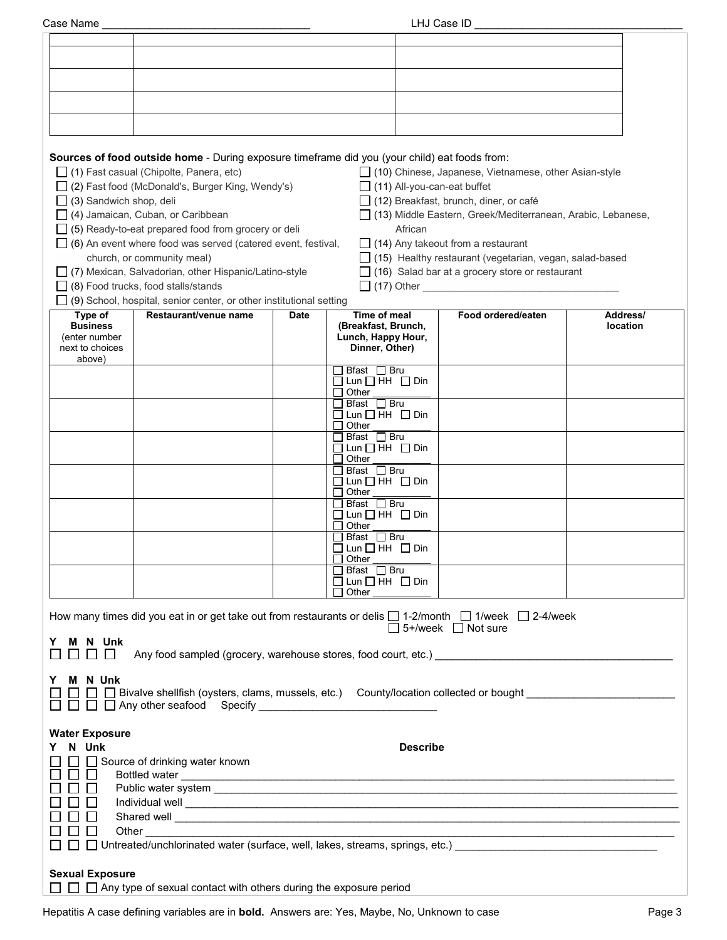| Case Name | LHJ Case ID |  |
|-----------|-------------|--|
|           |             |  |
|           |             |  |
|           |             |  |

|                                                               | Sources of food outside home - During exposure timeframe did you (your child) eat foods from:<br>$\Box$ (1) Fast casual (Chipolte, Panera, etc)                                                                                               |             |                                                                              |                 | □ (10) Chinese, Japanese, Vietnamese, other Asian-style                                                |          |
|---------------------------------------------------------------|-----------------------------------------------------------------------------------------------------------------------------------------------------------------------------------------------------------------------------------------------|-------------|------------------------------------------------------------------------------|-----------------|--------------------------------------------------------------------------------------------------------|----------|
| (3) Sandwich shop, deli                                       | (2) Fast food (McDonald's, Burger King, Wendy's)                                                                                                                                                                                              |             |                                                                              |                 | $\Box$ (11) All-you-can-eat buffet<br>$\Box$ (12) Breakfast, brunch, diner, or café                    |          |
|                                                               | (4) Jamaican, Cuban, or Caribbean                                                                                                                                                                                                             |             |                                                                              |                 | [13] Middle Eastern, Greek/Mediterranean, Arabic, Lebanese,                                            |          |
|                                                               | (5) Ready-to-eat prepared food from grocery or deli                                                                                                                                                                                           |             |                                                                              | African         |                                                                                                        |          |
|                                                               | $\Box$ (6) An event where food was served (catered event, festival,<br>church, or community meal)                                                                                                                                             |             |                                                                              |                 | $\Box$ (14) Any takeout from a restaurant<br>□ (15) Healthy restaurant (vegetarian, vegan, salad-based |          |
|                                                               | (7) Mexican, Salvadorian, other Hispanic/Latino-style                                                                                                                                                                                         |             |                                                                              |                 | $\Box$ (16) Salad bar at a grocery store or restaurant                                                 |          |
|                                                               | (8) Food trucks, food stalls/stands                                                                                                                                                                                                           |             |                                                                              |                 | $\Box$ (17) Other                                                                                      |          |
| Type of                                                       | $\Box$ (9) School, hospital, senior center, or other institutional setting<br>Restaurant/venue name                                                                                                                                           | <b>Date</b> | Time of meal                                                                 |                 | Food ordered/eaten                                                                                     | Address/ |
| <b>Business</b><br>(enter number<br>next to choices<br>above) |                                                                                                                                                                                                                                               |             | (Breakfast, Brunch,<br>Lunch, Happy Hour,<br>Dinner, Other)                  |                 |                                                                                                        | location |
|                                                               |                                                                                                                                                                                                                                               |             | Bfast $\Box$ Bru<br>$\square$ Lun $\square$ HH $\square$ Din<br>$\Box$ Other |                 |                                                                                                        |          |
|                                                               |                                                                                                                                                                                                                                               |             | Bfast □ Bru                                                                  |                 |                                                                                                        |          |
|                                                               |                                                                                                                                                                                                                                               |             | $\Box$ Lun $\Box$ HH $\Box$ Din<br>$\Box$ Other                              |                 |                                                                                                        |          |
|                                                               |                                                                                                                                                                                                                                               |             | $\Box$ Bfast $\Box$ Bru<br>$\Box$ Lun $\Box$ HH $\Box$ Din<br>$\Box$ Other   |                 |                                                                                                        |          |
|                                                               |                                                                                                                                                                                                                                               |             | Bfast □ Bru<br>$\Box$ Lun $\Box$ HH $\Box$ Din<br>$\Box$ Other               |                 |                                                                                                        |          |
|                                                               |                                                                                                                                                                                                                                               |             | $\Box$ Bfast $\Box$ Bru<br>$\Box$ Lun $\Box$ HH $\Box$ Din<br>$\sqcap$ Other |                 |                                                                                                        |          |
|                                                               |                                                                                                                                                                                                                                               |             | $\Box$ Bfast $\Box$ Bru<br>$\Box$ Lun $\Box$ HH $\Box$ Din                   |                 |                                                                                                        |          |
|                                                               |                                                                                                                                                                                                                                               |             | $\Box$ Other<br>]Bfast □ Bru                                                 |                 |                                                                                                        |          |
|                                                               |                                                                                                                                                                                                                                               |             | $\Box$ Lun $\Box$ HH $\;\Box$ Din<br>Other                                   |                 |                                                                                                        |          |
|                                                               | How many times did you eat in or get take out from restaurants or delis $\Box$ 1-2/month $\Box$ 1/week $\Box$ 2-4/week                                                                                                                        |             |                                                                              |                 | $\Box$ 5+/week $\Box$ Not sure                                                                         |          |
| N Unk<br>M<br>Y                                               | Any food sampled (grocery, warehouse stores, food court, etc.)                                                                                                                                                                                |             |                                                                              |                 |                                                                                                        |          |
| M N Unk<br>Y                                                  | Bivalve shellfish (oysters, clams, mussels, etc.) County/location collected or bought                                                                                                                                                         |             |                                                                              |                 |                                                                                                        |          |
| <b>Water Exposure</b><br>Y N Unk                              | Source of drinking water known                                                                                                                                                                                                                |             |                                                                              | <b>Describe</b> |                                                                                                        |          |
| $\Box$<br>$\mathsf{L}$                                        | Bottled water                                                                                                                                                                                                                                 |             |                                                                              |                 |                                                                                                        |          |
|                                                               |                                                                                                                                                                                                                                               |             |                                                                              |                 |                                                                                                        |          |
|                                                               | Shared well <b>contract the contract of the contract of the contract of the contract of the contract of the contract of the contract of the contract of the contract of the contract of the contract of the contract of the cont</b><br>Other |             |                                                                              |                 |                                                                                                        |          |
|                                                               | □ Untreated/unchlorinated water (surface, well, lakes, streams, springs, etc.) ________________________________                                                                                                                               |             |                                                                              |                 |                                                                                                        |          |
| <b>Sexual Exposure</b>                                        |                                                                                                                                                                                                                                               |             |                                                                              |                 |                                                                                                        |          |
|                                                               | $\Box$ $\Box$ Any type of sexual contact with others during the exposure period                                                                                                                                                               |             |                                                                              |                 |                                                                                                        |          |

Hepatitis A case defining variables are in **bold.** Answers are: Yes, Maybe, No, Unknown to case **Page 3** Page 3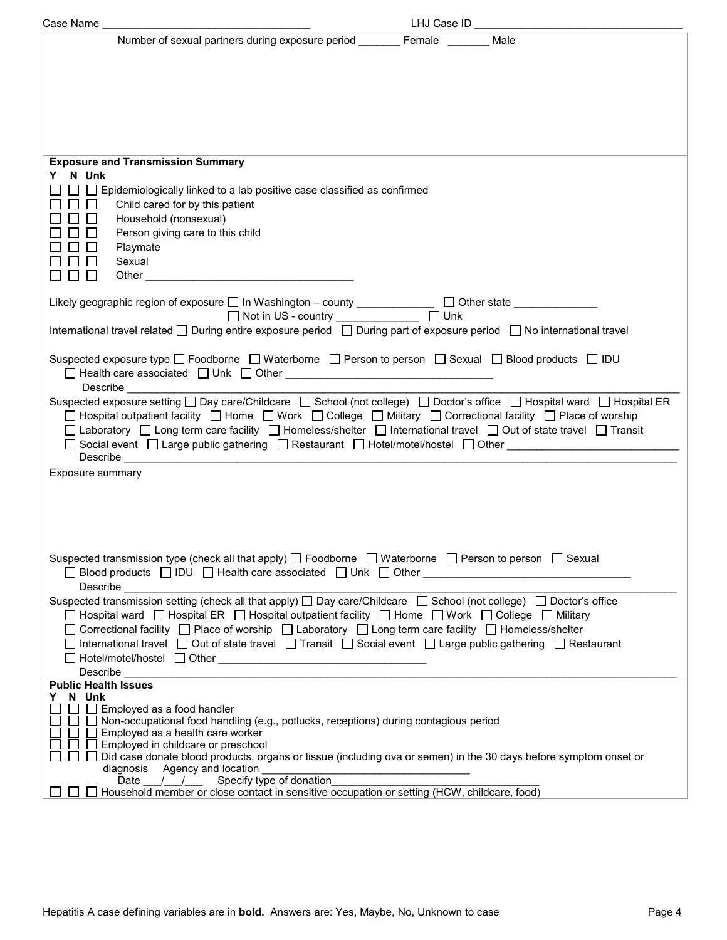| Number of sexual partners during exposure period Female                                                                                                                                                                                                                                                                                                                                                                                                                 | Male |
|-------------------------------------------------------------------------------------------------------------------------------------------------------------------------------------------------------------------------------------------------------------------------------------------------------------------------------------------------------------------------------------------------------------------------------------------------------------------------|------|
|                                                                                                                                                                                                                                                                                                                                                                                                                                                                         |      |
|                                                                                                                                                                                                                                                                                                                                                                                                                                                                         |      |
|                                                                                                                                                                                                                                                                                                                                                                                                                                                                         |      |
|                                                                                                                                                                                                                                                                                                                                                                                                                                                                         |      |
| <b>Exposure and Transmission Summary</b>                                                                                                                                                                                                                                                                                                                                                                                                                                |      |
| N Unk<br>Y<br>$\Box$ Epidemiologically linked to a lab positive case classified as confirmed                                                                                                                                                                                                                                                                                                                                                                            |      |
| Child cared for by this patient                                                                                                                                                                                                                                                                                                                                                                                                                                         |      |
| Household (nonsexual)<br>Person giving care to this child                                                                                                                                                                                                                                                                                                                                                                                                               |      |
| Playmate<br>Sexual                                                                                                                                                                                                                                                                                                                                                                                                                                                      |      |
| $\Box$ $\Box$                                                                                                                                                                                                                                                                                                                                                                                                                                                           |      |
| Likely geographic region of exposure □ In Washington - county ______________ □ Other state _____________                                                                                                                                                                                                                                                                                                                                                                |      |
| International travel related □ During entire exposure period □ During part of exposure period □ No international travel                                                                                                                                                                                                                                                                                                                                                 |      |
|                                                                                                                                                                                                                                                                                                                                                                                                                                                                         |      |
| Suspected exposure type □ Foodborne □ Waterborne □ Person to person □ Sexual □ Blood products □ IDU<br>Describe _______________                                                                                                                                                                                                                                                                                                                                         |      |
| Suspected exposure setting □ Day care/Childcare □ School (not college) □ Doctor's office □ Hospital ward □ Hospital ER<br>□ Hospital outpatient facility □ Home □ Work □ College □ Military □ Correctional facility □ Place of worship<br>□ Laboratory □ Long term care facility □ Homeless/shelter □ International travel □ Out of state travel □ Transit<br>□ Social event □ Large public gathering □ Restaurant □ Hotel/motel/hostel □ Other _______________________ |      |
| Exposure summary                                                                                                                                                                                                                                                                                                                                                                                                                                                        |      |
|                                                                                                                                                                                                                                                                                                                                                                                                                                                                         |      |
|                                                                                                                                                                                                                                                                                                                                                                                                                                                                         |      |
|                                                                                                                                                                                                                                                                                                                                                                                                                                                                         |      |
| Suspected transmission type (check all that apply) $\Box$ Foodborne $\Box$ Waterborne $\Box$ Person to person $\Box$ Sexual<br>Describe                                                                                                                                                                                                                                                                                                                                 |      |
| Suspected transmission setting (check all that apply) □ Day care/Childcare □ School (not college) □ Doctor's office                                                                                                                                                                                                                                                                                                                                                     |      |
| □ Hospital ward □ Hospital ER □ Hospital outpatient facility □ Home □ Work □ College □ Military<br>□ Correctional facility □ Place of worship □ Laboratory □ Long term care facility □ Homeless/shelter                                                                                                                                                                                                                                                                 |      |
| □ International travel □ Out of state travel □ Transit □ Social event □ Large public gathering □ Restaurant                                                                                                                                                                                                                                                                                                                                                             |      |
| Describe                                                                                                                                                                                                                                                                                                                                                                                                                                                                |      |
| <b>Public Health Issues</b><br>N Unk<br>Y<br>Employed as a food handler                                                                                                                                                                                                                                                                                                                                                                                                 |      |
| □ Non-occupational food handling (e.g., potlucks, receptions) during contagious period<br>Employed as a health care worker                                                                                                                                                                                                                                                                                                                                              |      |
| Employed in childcare or preschool<br>Did case donate blood products, organs or tissue (including ova or semen) in the 30 days before symptom onset or<br>diagnosis Agency and location                                                                                                                                                                                                                                                                                 |      |
| Date /// / Specify type of donation<br>Household member or close contact in sensitive occupation or setting (HCW, childcare, food)                                                                                                                                                                                                                                                                                                                                      |      |
|                                                                                                                                                                                                                                                                                                                                                                                                                                                                         |      |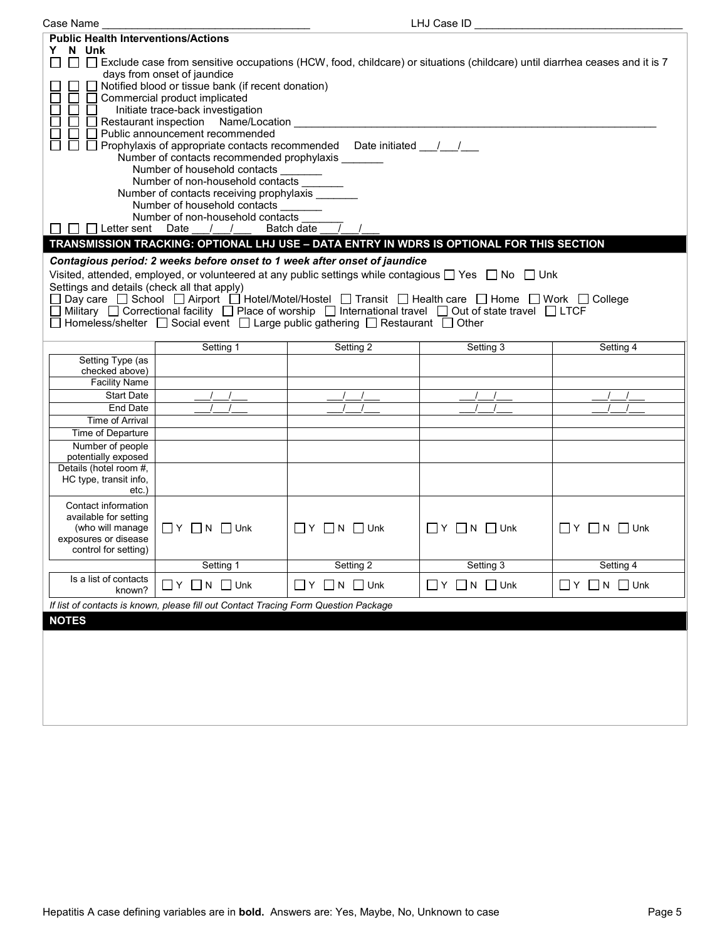| LHJ Case ID<br>Case Name                                                                                                                                                                                                                                                                                                                                                                                                                                                                                                                                                                                                                                                                  |                                                                                                                                                                                                                                                                   |                                  |                              |                                             |  |  |
|-------------------------------------------------------------------------------------------------------------------------------------------------------------------------------------------------------------------------------------------------------------------------------------------------------------------------------------------------------------------------------------------------------------------------------------------------------------------------------------------------------------------------------------------------------------------------------------------------------------------------------------------------------------------------------------------|-------------------------------------------------------------------------------------------------------------------------------------------------------------------------------------------------------------------------------------------------------------------|----------------------------------|------------------------------|---------------------------------------------|--|--|
| <b>Public Health Interventions/Actions</b><br>N Unk<br>Y.<br>□ □ Exclude case from sensitive occupations (HCW, food, childcare) or situations (childcare) until diarrhea ceases and it is 7<br>days from onset of jaundice<br>Notified blood or tissue bank (if recent donation)                                                                                                                                                                                                                                                                                                                                                                                                          |                                                                                                                                                                                                                                                                   |                                  |                              |                                             |  |  |
| Commercial product implicated<br>Initiate trace-back investigation<br>Restaurant inspection Name/Location<br>Public announcement recommended<br>Prophylaxis of appropriate contacts recommended Date initiated __/__/__                                                                                                                                                                                                                                                                                                                                                                                                                                                                   |                                                                                                                                                                                                                                                                   |                                  |                              |                                             |  |  |
| □ Letter sent Date                                                                                                                                                                                                                                                                                                                                                                                                                                                                                                                                                                                                                                                                        | Number of contacts recommended prophylaxis ______<br>Number of household contacts<br>Number of non-household contacts<br>Number of contacts receiving prophylaxis<br>Number of household contacts<br>Number of non-household contacts<br>Batch date<br>$\sqrt{1}$ |                                  |                              |                                             |  |  |
|                                                                                                                                                                                                                                                                                                                                                                                                                                                                                                                                                                                                                                                                                           |                                                                                                                                                                                                                                                                   |                                  |                              |                                             |  |  |
| TRANSMISSION TRACKING: OPTIONAL LHJ USE - DATA ENTRY IN WDRS IS OPTIONAL FOR THIS SECTION<br>Contagious period: 2 weeks before onset to 1 week after onset of jaundice<br>Visited, attended, employed, or volunteered at any public settings while contagious $\Box$ Yes $\Box$ No $\Box$ Unk<br>Settings and details (check all that apply)<br>Day care □ School □ Airport □ Hotel/Motel/Hostel □ Transit □ Health care □ Home □ Work □ College<br>Military $\Box$ Correctional facility $\Box$ Place of worship $\Box$ International travel $\Box$ Out of state travel $\Box$ LTCF<br>Homeless/shelter $\Box$ Social event $\Box$ Large public gathering $\Box$ Restaurant $\Box$ Other |                                                                                                                                                                                                                                                                   |                                  |                              |                                             |  |  |
|                                                                                                                                                                                                                                                                                                                                                                                                                                                                                                                                                                                                                                                                                           | Setting 1                                                                                                                                                                                                                                                         | Setting 2                        | Setting 3                    | Setting 4                                   |  |  |
| Setting Type (as<br>checked above)<br><b>Facility Name</b>                                                                                                                                                                                                                                                                                                                                                                                                                                                                                                                                                                                                                                |                                                                                                                                                                                                                                                                   |                                  |                              |                                             |  |  |
| <b>Start Date</b>                                                                                                                                                                                                                                                                                                                                                                                                                                                                                                                                                                                                                                                                         |                                                                                                                                                                                                                                                                   |                                  |                              |                                             |  |  |
| End Date                                                                                                                                                                                                                                                                                                                                                                                                                                                                                                                                                                                                                                                                                  |                                                                                                                                                                                                                                                                   |                                  |                              |                                             |  |  |
| Time of Arrival                                                                                                                                                                                                                                                                                                                                                                                                                                                                                                                                                                                                                                                                           |                                                                                                                                                                                                                                                                   |                                  |                              |                                             |  |  |
| Time of Departure                                                                                                                                                                                                                                                                                                                                                                                                                                                                                                                                                                                                                                                                         |                                                                                                                                                                                                                                                                   |                                  |                              |                                             |  |  |
| Number of people<br>potentially exposed                                                                                                                                                                                                                                                                                                                                                                                                                                                                                                                                                                                                                                                   |                                                                                                                                                                                                                                                                   |                                  |                              |                                             |  |  |
| Details (hotel room #,<br>HC type, transit info,<br>etc.)                                                                                                                                                                                                                                                                                                                                                                                                                                                                                                                                                                                                                                 |                                                                                                                                                                                                                                                                   |                                  |                              |                                             |  |  |
| Contact information<br>available for setting<br>(who will manage<br>exposures or disease<br>control for setting)                                                                                                                                                                                                                                                                                                                                                                                                                                                                                                                                                                          | $\Box$ Y $\Box$ N $\Box$ Unk                                                                                                                                                                                                                                      | $\Box Y$ $\Box N$ $\Box$ Unk     | $\Box Y$ $\Box N$ $\Box$ Unk | $\Box Y$ $\Box N$ $\Box$ Unk                |  |  |
|                                                                                                                                                                                                                                                                                                                                                                                                                                                                                                                                                                                                                                                                                           | Setting 1                                                                                                                                                                                                                                                         | Setting 2                        | Setting 3                    | Setting 4                                   |  |  |
| Is a list of contacts<br>known?                                                                                                                                                                                                                                                                                                                                                                                                                                                                                                                                                                                                                                                           | $\Box N$ $\Box$ Unk<br>∐Y                                                                                                                                                                                                                                         | $\Box$ $Y$ $\Box$ $N$ $\Box$ Unk | ∐Y<br>N<br>$\Box$ Unk        | $\Box$ Y<br>N<br>$\Box$ Unk<br>$\mathbf{1}$ |  |  |
|                                                                                                                                                                                                                                                                                                                                                                                                                                                                                                                                                                                                                                                                                           | If list of contacts is known, please fill out Contact Tracing Form Question Package                                                                                                                                                                               |                                  |                              |                                             |  |  |
| <b>NOTES</b>                                                                                                                                                                                                                                                                                                                                                                                                                                                                                                                                                                                                                                                                              |                                                                                                                                                                                                                                                                   |                                  |                              |                                             |  |  |